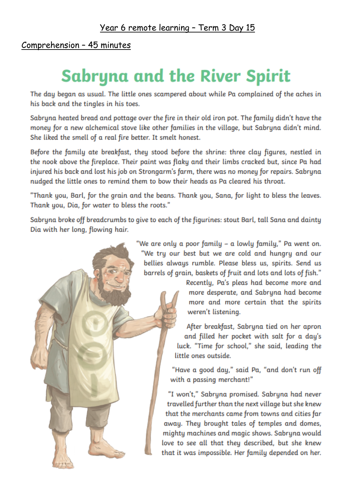# Comprehension - 45 minutes

# **Sabryna and the River Spirit**

The day began as usual. The little ones scampered about while Pa complained of the aches in his back and the tingles in his toes.

Sabryna heated bread and pottage over the fire in their old iron pot. The family didn't have the money for a new alchemical stove like other families in the village, but Sabryna didn't mind. She liked the smell of a real fire better. It smelt honest.

Before the family ate breakfast, they stood before the shrine: three clay figures, nestled in the nook above the fireplace. Their paint was flaky and their limbs cracked but, since Pa had injured his back and lost his job on Strongarm's farm, there was no money for repairs. Sabryna nudged the little ones to remind them to bow their heads as Pa cleared his throat.

"Thank you, Barl, for the grain and the beans. Thank you, Sana, for light to bless the leaves. Thank you, Dia, for water to bless the roots."

Sabryna broke off breadcrumbs to give to each of the figurines: stout Barl, tall Sana and dainty Dia with her long, flowing hair.

> "We are only a poor family – a lowly family," Pa went on. "We try our best but we are cold and hungry and our bellies always rumble. Please bless us, spirits. Send us barrels of grain, baskets of fruit and lots and lots of fish."

> > Recently, Pa's pleas had become more and more desperate, and Sabryna had become more and more certain that the spirits weren't listening.

After breakfast, Sabryna tied on her apron and filled her pocket with salt for a day's luck. "Time for school," she said, leading the little ones outside.

"Have a good day," said Pa, "and don't run off with a passing merchant!"

"I won't," Sabryna promised. Sabryna had never travelled further than the next village but she knew that the merchants came from towns and cities far away. They brought tales of temples and domes, mighty machines and magic shows. Sabryna would love to see all that they described, but she knew that it was impossible. Her family depended on her.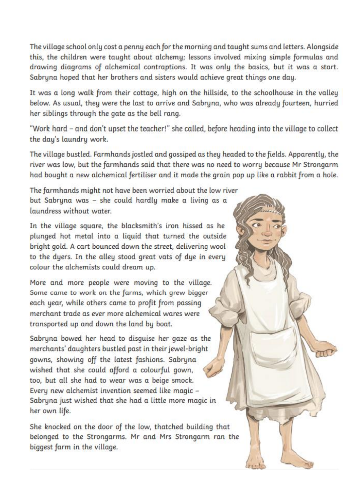The village school only cost a penny each for the morning and taught sums and letters. Alongside this, the children were taught about alchemu; lessons involved mixing simple formulas and drawing diagrams of alchemical contraptions. It was only the basics, but it was a start. Sabruna hoped that her brothers and sisters would achieve great things one day.

It was a long walk from their cottage, high on the hillside, to the schoolhouse in the valley below. As usual, they were the last to arrive and Sabryna, who was already fourteen, hurried her siblings through the gate as the bell rang.

"Work hard - and don't upset the teacher!" she called, before heading into the village to collect the day's laundry work.

The village bustled. Farmhands jostled and gossiped as they headed to the fields. Apparently, the river was low, but the farmhands said that there was no need to worry because Mr Strongarm had bought a new alchemical fertiliser and it made the grain pop up like a rabbit from a hole.

TTP

The farmhands might not have been worried about the low river but Sabryna was - she could hardly make a living as a laundress without water.

In the village square, the blacksmith's iron hissed as he plunged hot metal into a liquid that turned the outside bright gold. A cart bounced down the street, delivering wool to the dyers. In the alley stood great vats of dye in every colour the alchemists could dream up.

More and more people were moving to the village. Some came to work on the farms, which grew bigger each year, while others came to profit from passing merchant trade as ever more alchemical wares were transported up and down the land by boat.

Sabryna bowed her head to disquise her gaze as the merchants' daughters bustled past in their jewel-bright gowns, showing off the latest fashions. Sabryna wished that she could afford a colourful gown, too, but all she had to wear was a beige smock. Every new alchemist invention seemed like magic -Sabryna just wished that she had a little more magic in her own life.

She knocked on the door of the low, thatched building that belonged to the Strongarms. Mr and Mrs Strongarm ran the biggest farm in the village.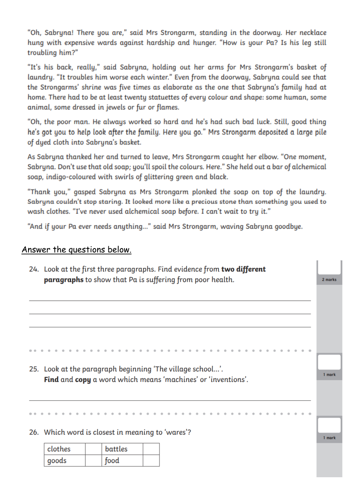"Oh, Sabryna! There you are," said Mrs Strongarm, standing in the doorway. Her necklace hung with expensive wards against hardship and hunger. "How is your Pa? Is his leg still troubling him?"

"It's his back, really," said Sabryna, holding out her arms for Mrs Strongarm's basket of laundry. "It troubles him worse each winter." Even from the doorway, Sabryna could see that the Strongarms' shrine was five times as elaborate as the one that Sabryna's family had at home. There had to be at least twenty statuettes of every colour and shape: some human, some animal, some dressed in jewels or fur or flames.

"Oh, the poor man. He always worked so hard and he's had such bad luck. Still, good thing he's got you to help look after the family. Here you go." Mrs Strongarm deposited a large pile of dyed cloth into Sabryna's basket.

As Sabryna thanked her and turned to leave, Mrs Strongarm caught her elbow. "One moment, Sabryna. Don't use that old soap; you'll spoil the colours. Here." She held out a bar of alchemical soap, indigo-coloured with swirls of glittering green and black.

"Thank you," gasped Sabryna as Mrs Strongarm plonked the soap on top of the laundry. Sabryna couldn't stop staring. It looked more like a precious stone than something you used to wash clothes. "I've never used alchemical soap before. I can't wait to try it."

"And if your Pa ever needs anything..." said Mrs Strongarm, waving Sabryna goodbye.

### Answer the questions below.

| 24. Look at the first three paragraphs. Find evidence from two different |                                                              |                                                           |         |  |  |  |  |
|--------------------------------------------------------------------------|--------------------------------------------------------------|-----------------------------------------------------------|---------|--|--|--|--|
|                                                                          |                                                              | paragraphs to show that Pa is suffering from poor health. | 2 marks |  |  |  |  |
|                                                                          |                                                              |                                                           |         |  |  |  |  |
|                                                                          |                                                              |                                                           |         |  |  |  |  |
|                                                                          |                                                              |                                                           |         |  |  |  |  |
|                                                                          |                                                              |                                                           |         |  |  |  |  |
|                                                                          |                                                              |                                                           |         |  |  |  |  |
|                                                                          |                                                              |                                                           |         |  |  |  |  |
|                                                                          |                                                              |                                                           |         |  |  |  |  |
|                                                                          | 25. Look at the paragraph beginning 'The village school'.    |                                                           |         |  |  |  |  |
|                                                                          | Find and copy a word which means 'machines' or 'inventions'. |                                                           |         |  |  |  |  |
|                                                                          |                                                              |                                                           |         |  |  |  |  |
|                                                                          |                                                              |                                                           |         |  |  |  |  |
|                                                                          |                                                              |                                                           |         |  |  |  |  |
|                                                                          |                                                              |                                                           |         |  |  |  |  |
| 26. Which word is closest in meaning to 'wares'?                         |                                                              |                                                           |         |  |  |  |  |
|                                                                          | clothes                                                      | battles                                                   |         |  |  |  |  |
|                                                                          | goods                                                        | food                                                      |         |  |  |  |  |
|                                                                          |                                                              |                                                           |         |  |  |  |  |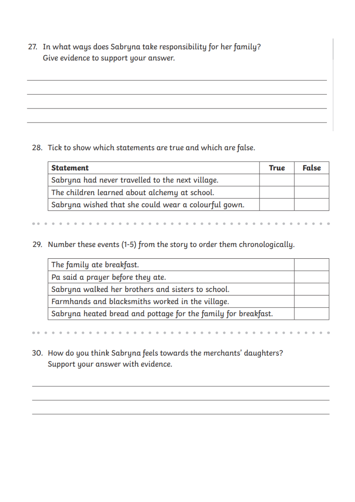27. In what ways does Sabryna take responsibility for her family? Give evidence to support your answer.

#### 28. Tick to show which statements are true and which are false.

| <b>Statement</b>                                     | <b>True</b> | False |
|------------------------------------------------------|-------------|-------|
| Sabryna had never travelled to the next village.     |             |       |
| The children learned about alchemy at school.        |             |       |
| Sabryna wished that she could wear a colourful gown. |             |       |

29. Number these events (1-5) from the story to order them chronologically.

| The family ate breakfast.                                      |  |
|----------------------------------------------------------------|--|
| Pa said a prayer before they ate.                              |  |
| Sabryna walked her brothers and sisters to school.             |  |
| Farmhands and blacksmiths worked in the village.               |  |
| Sabryna heated bread and pottage for the family for breakfast. |  |

# 30. How do you think Sabryna feels towards the merchants' daughters? Support your answer with evidence.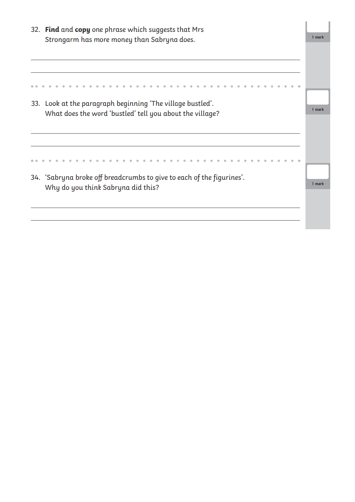|                                             | 32. Find and copy one phrase which suggests that Mrs                                                        |        |  |  |  |  |  |
|---------------------------------------------|-------------------------------------------------------------------------------------------------------------|--------|--|--|--|--|--|
| Strongarm has more money than Sabryna does. |                                                                                                             |        |  |  |  |  |  |
|                                             |                                                                                                             |        |  |  |  |  |  |
|                                             |                                                                                                             |        |  |  |  |  |  |
|                                             | 33. Look at the paragraph beginning 'The village bustled'.                                                  |        |  |  |  |  |  |
|                                             | What does the word 'bustled' tell you about the village?                                                    |        |  |  |  |  |  |
|                                             |                                                                                                             |        |  |  |  |  |  |
|                                             |                                                                                                             |        |  |  |  |  |  |
|                                             | 34. 'Sabryna broke off breadcrumbs to give to each of the figurines'.<br>Why do you think Sabryna did this? | 1 mark |  |  |  |  |  |
|                                             |                                                                                                             |        |  |  |  |  |  |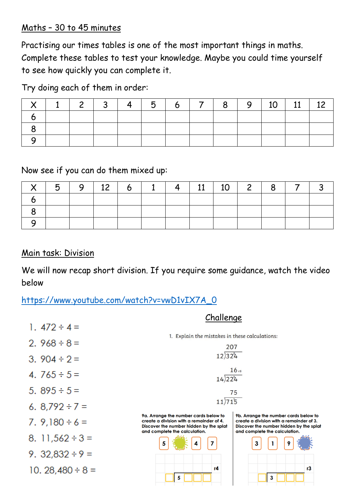## Maths – 30 to 45 minutes

Practising our times tables is one of the most important things in maths. Complete these tables to test your knowledge. Maybe you could time yourself to see how quickly you can complete it.

Try doing each of them in order:

|  | 2   3   4   5   6   7   8   9   10 |  |  |  |  |  |
|--|------------------------------------|--|--|--|--|--|
|  |                                    |  |  |  |  |  |
|  |                                    |  |  |  |  |  |
|  |                                    |  |  |  |  |  |

Now see if you can do them mixed up:

|  | 9   12   6   1   4   11   10   2   8 |  |  |  | $\overline{7}$ |  |
|--|--------------------------------------|--|--|--|----------------|--|
|  |                                      |  |  |  |                |  |
|  |                                      |  |  |  |                |  |
|  |                                      |  |  |  |                |  |

# Main task: Division

10. 28,480  $\div$  8 =

We will now recap short division. If you require some guidance, watch the video below

[https://www.youtube.com/watch?v=vwD1vIX7A\\_0](https://www.youtube.com/watch?v=vwD1vIX7A_0)

|                      | Challenge                                                                                                                    |                                                                                                                              |  |  |  |  |
|----------------------|------------------------------------------------------------------------------------------------------------------------------|------------------------------------------------------------------------------------------------------------------------------|--|--|--|--|
| 1. $472 \div 4 =$    |                                                                                                                              |                                                                                                                              |  |  |  |  |
| 2. $968 \div 8 =$    | 1. Explain the mistakes in these calculations:<br>207                                                                        |                                                                                                                              |  |  |  |  |
| 3. $904 \div 2 =$    | $12)32^{8}4$                                                                                                                 |                                                                                                                              |  |  |  |  |
| 4. $765 \div 5 =$    | $14)22^{6}4$                                                                                                                 | 16r8                                                                                                                         |  |  |  |  |
| 5. $895 \div 5 =$    | 75                                                                                                                           |                                                                                                                              |  |  |  |  |
| 6. $8.792 \div 7 =$  | 11)715                                                                                                                       |                                                                                                                              |  |  |  |  |
| 7. $9,180 \div 6 =$  | 9a. Arrange the number cards below to<br>create a division with a remainder of 4.<br>Discover the number hidden by the splat | 9b. Arrange the number cards below to<br>create a division with a remainder of 3.<br>Discover the number hidden by the splat |  |  |  |  |
| 8. 11,562 $\div$ 3 = | and complete the calculation.<br>5                                                                                           | and complete the calculation.<br>3                                                                                           |  |  |  |  |
| 9. $32,832 \div 9 =$ |                                                                                                                              |                                                                                                                              |  |  |  |  |
|                      |                                                                                                                              |                                                                                                                              |  |  |  |  |

 $\overline{5}$ 

 $r3$ 

 $\overline{\mathbf{3}}$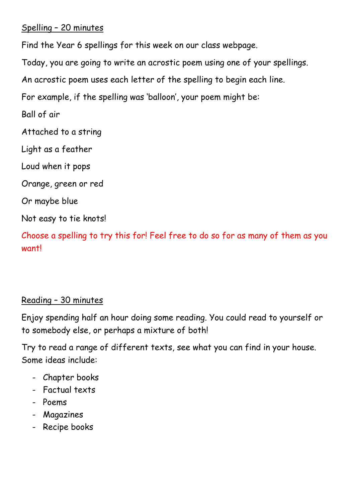# Spelling – 20 minutes

Find the Year 6 spellings for this week on our class webpage.

Today, you are going to write an acrostic poem using one of your spellings.

An acrostic poem uses each letter of the spelling to begin each line.

For example, if the spelling was 'balloon', your poem might be:

Ball of air

Attached to a string

Light as a feather

Loud when it pops

Orange, green or red

Or maybe blue

Not easy to tie knots!

Choose a spelling to try this for! Feel free to do so for as many of them as you want!

# Reading – 30 minutes

Enjoy spending half an hour doing some reading. You could read to yourself or to somebody else, or perhaps a mixture of both!

Try to read a range of different texts, see what you can find in your house. Some ideas include:

- Chapter books
- Factual texts
- Poems
- Magazines
- Recipe books